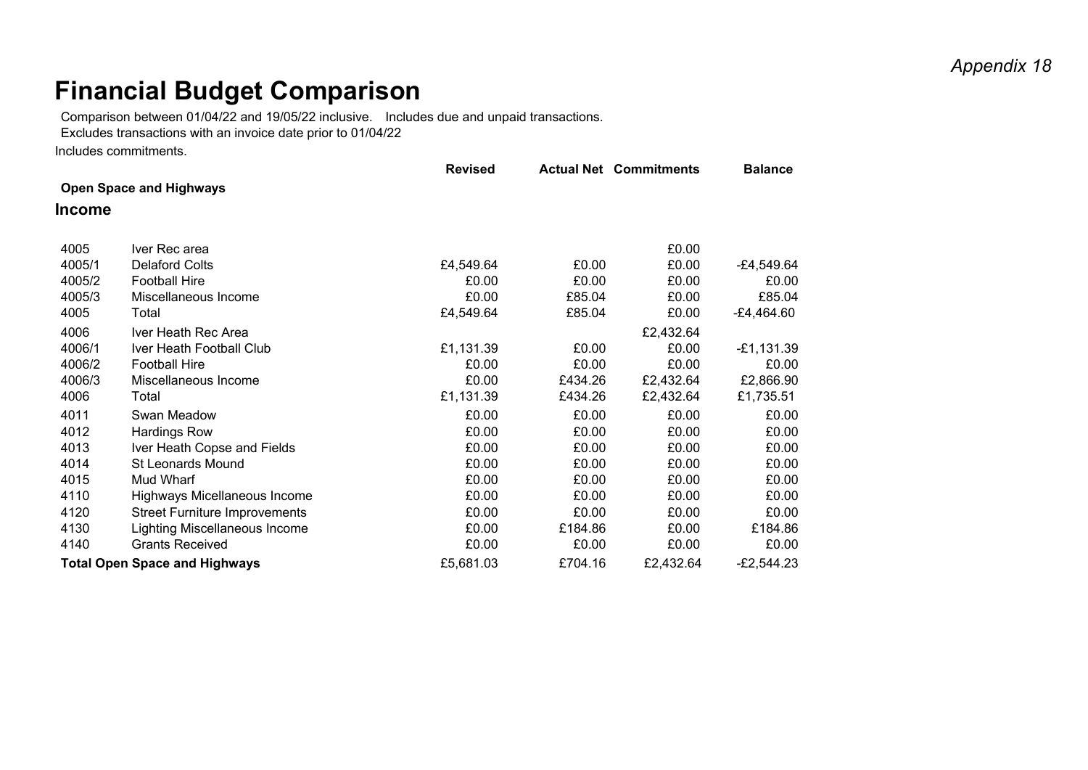## *Appendix 18*

## **Financial Budget Comparison**

Comparison between 01/04/22 and 19/05/22 inclusive. Includes due and unpaid transactions.

Excludes transactions with an invoice date prior to 01/04/22

Includes commitments.

|                                      |                                      | <b>Revised</b> |         | <b>Actual Net Commitments</b> | <b>Balance</b> |  |  |  |
|--------------------------------------|--------------------------------------|----------------|---------|-------------------------------|----------------|--|--|--|
| <b>Open Space and Highways</b>       |                                      |                |         |                               |                |  |  |  |
| <b>Income</b>                        |                                      |                |         |                               |                |  |  |  |
|                                      |                                      |                |         |                               |                |  |  |  |
| 4005                                 | Iver Rec area                        |                |         | £0.00                         |                |  |  |  |
| 4005/1                               | <b>Delaford Colts</b>                | £4,549.64      | £0.00   | £0.00                         | $-E4,549.64$   |  |  |  |
| 4005/2                               | <b>Football Hire</b>                 | £0.00          | £0.00   | £0.00                         | £0.00          |  |  |  |
| 4005/3                               | Miscellaneous Income                 | £0.00          | £85.04  | £0.00                         | £85.04         |  |  |  |
| 4005                                 | Total                                | £4,549.64      | £85.04  | £0.00                         | $-E4,464.60$   |  |  |  |
| 4006                                 | Iver Heath Rec Area                  |                |         | £2,432.64                     |                |  |  |  |
| 4006/1                               | Iver Heath Football Club             | £1,131.39      | £0.00   | £0.00                         | $-E1,131.39$   |  |  |  |
| 4006/2                               | <b>Football Hire</b>                 | £0.00          | £0.00   | £0.00                         | £0.00          |  |  |  |
| 4006/3                               | Miscellaneous Income                 | £0.00          | £434.26 | £2,432.64                     | £2,866.90      |  |  |  |
| 4006                                 | Total                                | £1,131.39      | £434.26 | £2,432.64                     | £1,735.51      |  |  |  |
| 4011                                 | Swan Meadow                          | £0.00          | £0.00   | £0.00                         | £0.00          |  |  |  |
| 4012                                 | <b>Hardings Row</b>                  | £0.00          | £0.00   | £0.00                         | £0.00          |  |  |  |
| 4013                                 | Iver Heath Copse and Fields          | £0.00          | £0.00   | £0.00                         | £0.00          |  |  |  |
| 4014                                 | <b>St Leonards Mound</b>             | £0.00          | £0.00   | £0.00                         | £0.00          |  |  |  |
| 4015                                 | Mud Wharf                            | £0.00          | £0.00   | £0.00                         | £0.00          |  |  |  |
| 4110                                 | Highways Micellaneous Income         | £0.00          | £0.00   | £0.00                         | £0.00          |  |  |  |
| 4120                                 | <b>Street Furniture Improvements</b> | £0.00          | £0.00   | £0.00                         | £0.00          |  |  |  |
| 4130                                 | Lighting Miscellaneous Income        | £0.00          | £184.86 | £0.00                         | £184.86        |  |  |  |
| 4140                                 | <b>Grants Received</b>               | £0.00          | £0.00   | £0.00                         | £0.00          |  |  |  |
| <b>Total Open Space and Highways</b> |                                      | £5,681.03      | £704.16 | £2,432.64                     | $-E2,544.23$   |  |  |  |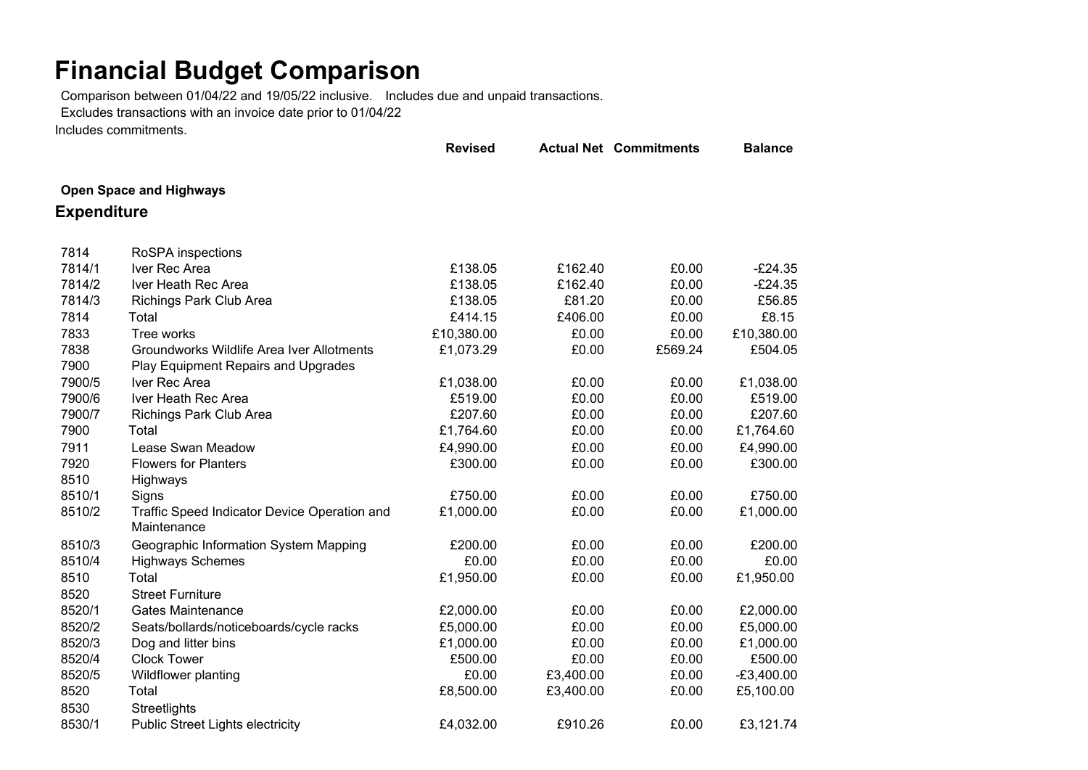## **Financial Budget Comparison**

Comparison between 01/04/22 and 19/05/22 inclusive. Includes due and unpaid transactions.

Excludes transactions with an invoice date prior to 01/04/22

Includes commitments.

|                    |                                              | <b>Revised</b> |           | <b>Actual Net Commitments</b> | <b>Balance</b> |
|--------------------|----------------------------------------------|----------------|-----------|-------------------------------|----------------|
|                    | <b>Open Space and Highways</b>               |                |           |                               |                |
|                    |                                              |                |           |                               |                |
| <b>Expenditure</b> |                                              |                |           |                               |                |
| 7814               | RoSPA inspections                            |                |           |                               |                |
| 7814/1             | Iver Rec Area                                | £138.05        | £162.40   | £0.00                         | $-E24.35$      |
| 7814/2             | Iver Heath Rec Area                          | £138.05        | £162.40   | £0.00                         | $-E24.35$      |
| 7814/3             | <b>Richings Park Club Area</b>               | £138.05        | £81.20    | £0.00                         | £56.85         |
| 7814               | Total                                        | £414.15        | £406.00   | £0.00                         | £8.15          |
| 7833               | Tree works                                   | £10,380.00     | £0.00     | £0.00                         | £10,380.00     |
| 7838               | Groundworks Wildlife Area Iver Allotments    | £1,073.29      | £0.00     | £569.24                       | £504.05        |
| 7900               | Play Equipment Repairs and Upgrades          |                |           |                               |                |
| 7900/5             | Iver Rec Area                                | £1,038.00      | £0.00     | £0.00                         | £1,038.00      |
| 7900/6             | Iver Heath Rec Area                          | £519.00        | £0.00     | £0.00                         | £519.00        |
| 7900/7             | Richings Park Club Area                      | £207.60        | £0.00     | £0.00                         | £207.60        |
| 7900               | Total                                        | £1,764.60      | £0.00     | £0.00                         | £1,764.60      |
| 7911               | Lease Swan Meadow                            | £4,990.00      | £0.00     | £0.00                         | £4,990.00      |
| 7920               | <b>Flowers for Planters</b>                  | £300.00        | £0.00     | £0.00                         | £300.00        |
| 8510               | Highways                                     |                |           |                               |                |
| 8510/1             | Signs                                        | £750.00        | £0.00     | £0.00                         | £750.00        |
| 8510/2             | Traffic Speed Indicator Device Operation and | £1,000.00      | £0.00     | £0.00                         | £1,000.00      |
|                    | Maintenance                                  |                |           |                               |                |
| 8510/3             | Geographic Information System Mapping        | £200.00        | £0.00     | £0.00                         | £200.00        |
| 8510/4             | <b>Highways Schemes</b>                      | £0.00          | £0.00     | £0.00                         | £0.00          |
| 8510               | Total                                        | £1,950.00      | £0.00     | £0.00                         | £1,950.00      |
| 8520               | <b>Street Furniture</b>                      |                |           |                               |                |
| 8520/1             | <b>Gates Maintenance</b>                     | £2,000.00      | £0.00     | £0.00                         | £2,000.00      |
| 8520/2             | Seats/bollards/noticeboards/cycle racks      | £5,000.00      | £0.00     | £0.00                         | £5,000.00      |
| 8520/3             | Dog and litter bins                          | £1,000.00      | £0.00     | £0.00                         | £1,000.00      |
| 8520/4             | <b>Clock Tower</b>                           | £500.00        | £0.00     | £0.00                         | £500.00        |
| 8520/5             | Wildflower planting                          | £0.00          | £3,400.00 | £0.00                         | $-E3,400.00$   |
| 8520               | Total                                        | £8,500.00      | £3,400.00 | £0.00                         | £5,100.00      |
| 8530               | Streetlights                                 |                |           |                               |                |
| 8530/1             | <b>Public Street Lights electricity</b>      | £4,032.00      | £910.26   | £0.00                         | £3,121.74      |